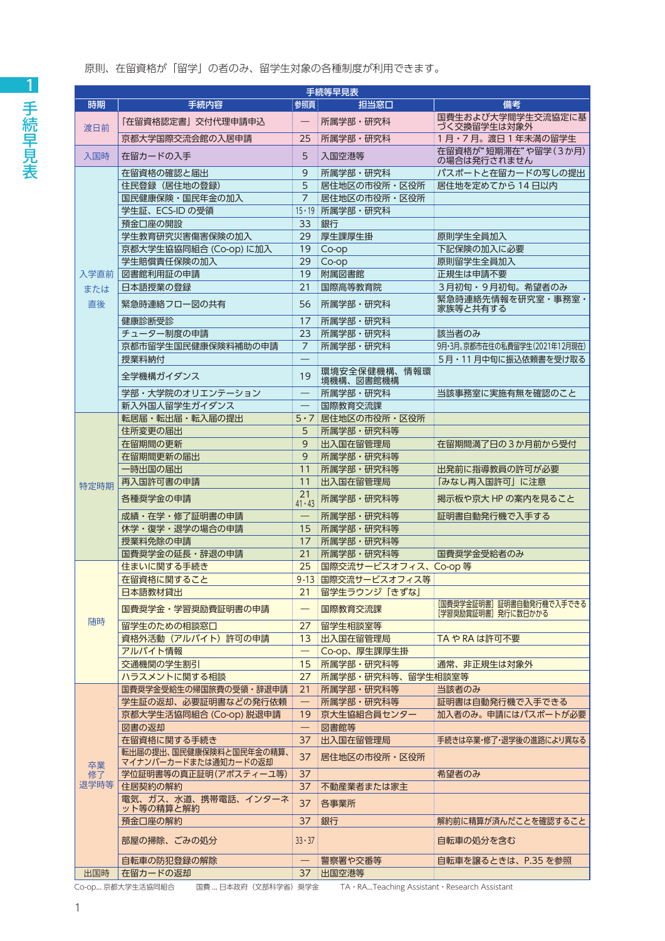原則、在留資格が「留学」の者のみ、留学生対象の各種制度が利用できます。

| 手続等早見表           |                                        |                          |                           |                                    |  |  |  |
|------------------|----------------------------------------|--------------------------|---------------------------|------------------------------------|--|--|--|
| 時期               | 手続内容                                   | 参照頁                      | 担当窓口                      | 備考                                 |  |  |  |
|                  | 「在留資格認定書」交付代理申請申込                      |                          | 所属学部・研究科                  | 国費生および大学間学生交流協定に基<br>づく交換留学生は対象外   |  |  |  |
| 渡日前              | 京都大学国際交流会館の入居申請                        | 25                       | 所属学部・研究科                  | 1月・7月。渡日1年未満の留学生                   |  |  |  |
| 入国時              | 在留カードの入手                               | 5                        | 入国空港等                     | 在留資格が"短期滞在"や留学(3か月)<br>の場合は発行されません |  |  |  |
|                  | 在留資格の確認と届出                             | 9                        | 所属学部・研究科                  | パスポートと在留カードの写しの提出                  |  |  |  |
|                  | 住民登録 (居住地の登録)                          | 5                        | 居住地区の市役所・区役所              | 居住地を定めてから 14日以内                    |  |  |  |
|                  | 国民健康保険・国民年金の加入                         | $\overline{7}$           | 居住地区の市役所・区役所              |                                    |  |  |  |
|                  | 学生証、ECS-ID の受領                         |                          | 15·19 所属学部・研究科            |                                    |  |  |  |
|                  | 預金口座の開設                                | 33                       | 銀行                        |                                    |  |  |  |
|                  | 学生教育研究災害傷害保険の加入                        | 29                       | 厚生課厚生掛                    | 原則学生全員加入                           |  |  |  |
|                  | 京都大学生協協同組合 (Co-op) に加入                 | 19                       |                           | 下記保険の加入に必要                         |  |  |  |
|                  |                                        |                          | Co-op                     |                                    |  |  |  |
|                  | 学生賠償責任保険の加入                            | 29                       | Co-op                     | 原則留学生全員加入                          |  |  |  |
| 入学直前             | 図書館利用証の申請                              | 19                       | 附属図書館                     | 正規生は申請不要                           |  |  |  |
| または              | 日本語授業の登録                               | 21                       | 国際高等教育院                   | 3月初旬・9月初旬。希望者のみ                    |  |  |  |
| 直後               | 緊急時連絡フロー図の共有                           | 56                       | 所属学部·研究科                  | 緊急時連絡先情報を研究室・事務室・<br>家族等と共有する      |  |  |  |
|                  | 健康診断受診                                 | 17                       | 所属学部·研究科                  |                                    |  |  |  |
|                  | チューター制度の申請                             | 23                       | 所属学部·研究科                  | 該当者のみ                              |  |  |  |
|                  | 京都市留学生国民健康保険料補助の申請                     | 7                        | 所属学部·研究科                  | 9月・3月。京都市在住の私費留学生(2021年12月現在)      |  |  |  |
|                  | 授業料納付                                  |                          |                           | 5月・11月中旬に振込依頼書を受け取る                |  |  |  |
|                  | 全学機構ガイダンス                              | 19                       | 環境安全保健機構、情報環<br>境機構、図書館機構 |                                    |  |  |  |
|                  | 学部・大学院のオリエンテーション                       |                          | 所属学部・研究科                  | 当該事務室に実施有無を確認のこと                   |  |  |  |
|                  | 新入外国人留学生ガイダンス                          |                          | 国際教育交流課                   |                                    |  |  |  |
|                  | 転居届・転出届・転入届の提出                         | $5 \cdot 7$              | 居住地区の市役所・区役所              |                                    |  |  |  |
|                  | 住所変更の届出                                | 5                        | 所属学部·研究科等                 |                                    |  |  |  |
|                  | 在留期間の更新                                | 9                        | 出入国在留管理局                  | 在留期間満了日の3か月前から受付                   |  |  |  |
|                  | 在留期間更新の届出                              | 9                        | 所属学部·研究科等                 |                                    |  |  |  |
|                  | 一時出国の届出                                | 11                       | 所属学部·研究科等                 | 出発前に指導教員の許可が必要                     |  |  |  |
|                  | 再入国許可書の申請                              | 11                       | 出入国在留管理局                  | 「みなし再入国許可」に注意                      |  |  |  |
| 特定時期             | 各種奨学金の申請                               | 21<br>$41 \cdot 43$      | 所属学部·研究科等                 | 掲示板や京大 HP の案内を見ること                 |  |  |  |
|                  | 成績・在学・修了証明書の申請                         |                          | 所属学部・研究科等                 | 証明書自動発行機で入手する                      |  |  |  |
|                  | 休学・復学・退学の場合の申請                         | 15                       | 所属学部·研究科等                 |                                    |  |  |  |
|                  | 授業料免除の申請                               | 17                       | 所属学部·研究科等                 |                                    |  |  |  |
|                  | 国費奨学金の延長・辞退の申請                         | 21                       | 所属学部·研究科等                 | 国費奨学金受給者のみ                         |  |  |  |
|                  | 住まいに関する手続き                             | 25                       | 国際交流サービスオフィス、Co-op 等      |                                    |  |  |  |
|                  | 在留資格に関すること                             |                          | 9-13 国際交流サービスオフィス等        |                                    |  |  |  |
|                  | 日本語教材貸出                                | 21                       | 留学生ラウンジ「きずな」              |                                    |  |  |  |
|                  | 国費奨学金・学習奨励費証明書の申請                      | —                        | 国際教育交流課                   | [国費奨学金証明書] 証明書自動発行機で入手できる          |  |  |  |
| 随時               | 留学生のための相談窓口                            | 27                       | 留学生相談室等                   | [学習奨励賞証明書] 発行に数日かかる                |  |  |  |
|                  | 資格外活動 (アルバイト)許可の申請                     | 13                       | 出入国在留管理局                  | TA や RA は許可不要                      |  |  |  |
|                  | アルバイト情報                                |                          | Co-op、厚生課厚生掛              |                                    |  |  |  |
|                  | 交通機関の学生割引                              | 15                       | 所属学部·研究科等                 | 通常、非正規生は対象外                        |  |  |  |
|                  | ハラスメントに関する相談                           | 27                       | 所属学部・研究科等、留学生相談室等         |                                    |  |  |  |
|                  | 国費奨学金受給生の帰国旅費の受領・辞退申請                  | 21                       | 所属学部·研究科等                 | 当該者のみ                              |  |  |  |
|                  | 学生証の返却、必要証明書などの発行依頼                    | $\overline{\phantom{0}}$ | 所属学部・研究科等                 | 証明書は自動発行機で入手できる                    |  |  |  |
|                  | 京都大学生活協同組合 (Co-op) 脱退申請                | 19                       | 京大生協組合員センター               | 加入者のみ。申請にはパスポートが必要                 |  |  |  |
|                  | 図書の返却                                  |                          |                           |                                    |  |  |  |
|                  |                                        |                          | 図書館等                      |                                    |  |  |  |
|                  | 在留資格に関する手続き<br>転出届の提出、国民健康保険料と国民年金の精算、 | 37                       | 出入国在留管理局                  | 手続きは卒業・修了・退学後の進路により異なる             |  |  |  |
| 卒業<br>修了<br>退学時等 | マイナンバーカードまたは通知カードの返却                   | 37                       | 居住地区の市役所・区役所              |                                    |  |  |  |
|                  | 学位証明書等の真正証明(アポスティーユ等)                  | 37                       |                           | 希望者のみ                              |  |  |  |
|                  | 住居契約の解約<br>電気、ガス、水道、携帯電話、インターネ         | 37                       | 不動産業者または家主                |                                    |  |  |  |
|                  | ット等の精算と解約                              | 37                       | 各事業所                      |                                    |  |  |  |
|                  | 預金口座の解約                                | 37                       | 銀行                        | 解約前に精算が済んだことを確認すること                |  |  |  |
|                  | 部屋の掃除、ごみの処分                            | $33 \cdot 37$            |                           | 自転車の処分を含む                          |  |  |  |
|                  | 自転車の防犯登録の解除                            |                          | 警察署や交番等                   | 自転車を譲るときは、P.35 を参照                 |  |  |  |
| 出国時              | 在留カードの返却                               | 37                       | 出国空港等                     |                                    |  |  |  |

Co-op... 京都大学生活協同組合 国費 ... 日本政府 (文部科学省) 奨学金 TA·RA...Teaching Assistant·Research Assistant